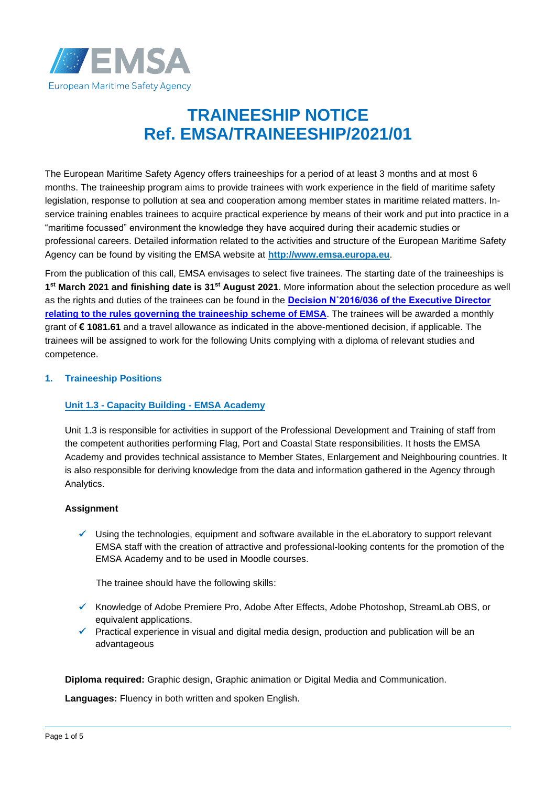

# **TRAINEESHIP NOTICE Ref. EMSA/TRAINEESHIP/2021/01**

The European Maritime Safety Agency offers traineeships for a period of at least 3 months and at most 6 months. The traineeship program aims to provide trainees with work experience in the field of maritime safety legislation, response to pollution at sea and cooperation among member states in maritime related matters. Inservice training enables trainees to acquire practical experience by means of their work and put into practice in a "maritime focussed" environment the knowledge they have acquired during their academic studies or professional careers. Detailed information related to the activities and structure of the European Maritime Safety Agency can be found by visiting the EMSA website at **[http://www.emsa.europa.eu](http://www.emsa.europa.eu/)**.

From the publication of this call, EMSA envisages to select five trainees. The starting date of the traineeships is **1 st March 2021 and finishing date is 31st August 2021**. More information about the selection procedure as well as the rights and duties of the trainees can be found in the **[Decision N˚2016/036 of the Executive Director](http://www.emsa.europa.eu/recruitment-info/trainees.html)  [relating to the rules governing the traineeship scheme of EMSA](http://www.emsa.europa.eu/recruitment-info/trainees.html)**. The trainees will be awarded a monthly grant of **€ 1081.61** and a travel allowance as indicated in the above-mentioned decision, if applicable. The trainees will be assigned to work for the following Units complying with a diploma of relevant studies and competence.

## **1. Traineeship Positions**

#### **Unit 1.3 - Capacity Building - EMSA Academy**

Unit 1.3 is responsible for activities in support of the Professional Development and Training of staff from the competent authorities performing Flag, Port and Coastal State responsibilities. It hosts the EMSA Academy and provides technical assistance to Member States, Enlargement and Neighbouring countries. It is also responsible for deriving knowledge from the data and information gathered in the Agency through Analytics.

#### **Assignment**

 $\checkmark$  Using the technologies, equipment and software available in the eLaboratory to support relevant EMSA staff with the creation of attractive and professional-looking contents for the promotion of the EMSA Academy and to be used in Moodle courses.

The trainee should have the following skills:

- ✓ Knowledge of Adobe Premiere Pro, Adobe After Effects, Adobe Photoshop, StreamLab OBS, or equivalent applications.
- $\checkmark$  Practical experience in visual and digital media design, production and publication will be an advantageous

**Diploma required:** Graphic design, Graphic animation or Digital Media and Communication.

**Languages:** Fluency in both written and spoken English.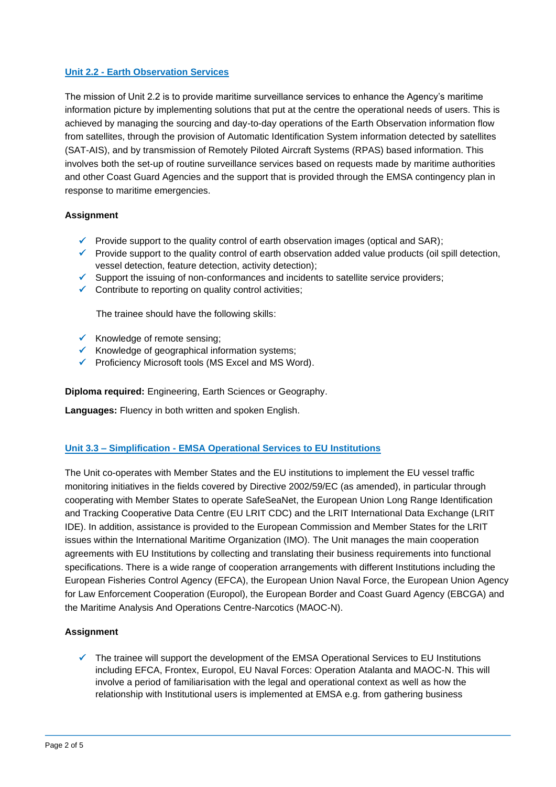## **Unit 2.2 - Earth Observation Services**

The mission of Unit 2.2 is to provide maritime surveillance services to enhance the Agency's maritime information picture by implementing solutions that put at the centre the operational needs of users. This is achieved by managing the sourcing and day-to-day operations of the Earth Observation information flow from satellites, through the provision of Automatic Identification System information detected by satellites (SAT-AIS), and by transmission of Remotely Piloted Aircraft Systems (RPAS) based information. This involves both the set-up of routine surveillance services based on requests made by maritime authorities and other Coast Guard Agencies and the support that is provided through the EMSA contingency plan in response to maritime emergencies.

#### **Assignment**

- $\checkmark$  Provide support to the quality control of earth observation images (optical and SAR);
- $\checkmark$  Provide support to the quality control of earth observation added value products (oil spill detection, vessel detection, feature detection, activity detection);
- ✓ Support the issuing of non-conformances and incidents to satellite service providers;
- $\checkmark$  Contribute to reporting on quality control activities;

The trainee should have the following skills:

- $\checkmark$  Knowledge of remote sensing;
- ✓ Knowledge of geographical information systems;
- ✓ Proficiency Microsoft tools (MS Excel and MS Word).

**Diploma required:** Engineering, Earth Sciences or Geography.

**Languages:** Fluency in both written and spoken English.

#### **Unit 3.3 – Simplification - EMSA Operational Services to EU Institutions**

The Unit co-operates with Member States and the EU institutions to implement the EU vessel traffic monitoring initiatives in the fields covered by Directive 2002/59/EC (as amended), in particular through cooperating with Member States to operate SafeSeaNet, the European Union Long Range Identification and Tracking Cooperative Data Centre (EU LRIT CDC) and the LRIT International Data Exchange (LRIT IDE). In addition, assistance is provided to the European Commission and Member States for the LRIT issues within the International Maritime Organization (IMO). The Unit manages the main cooperation agreements with EU Institutions by collecting and translating their business requirements into functional specifications. There is a wide range of cooperation arrangements with different Institutions including the European Fisheries Control Agency (EFCA), the European Union Naval Force, the European Union Agency for Law Enforcement Cooperation (Europol), the European Border and Coast Guard Agency (EBCGA) and the Maritime Analysis And Operations Centre-Narcotics (MAOC-N).

#### **Assignment**

The trainee will support the development of the EMSA Operational Services to EU Institutions including EFCA, Frontex, Europol, EU Naval Forces: Operation Atalanta and MAOC-N. This will involve a period of familiarisation with the legal and operational context as well as how the relationship with Institutional users is implemented at EMSA e.g. from gathering business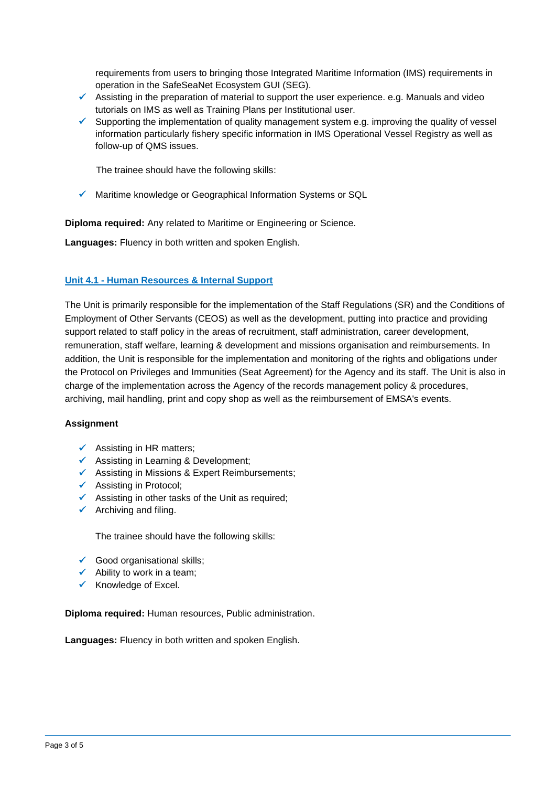requirements from users to bringing those Integrated Maritime Information (IMS) requirements in operation in the SafeSeaNet Ecosystem GUI (SEG).

- $\checkmark$  Assisting in the preparation of material to support the user experience. e.g. Manuals and video tutorials on IMS as well as Training Plans per Institutional user.
- $\checkmark$  Supporting the implementation of quality management system e.g. improving the quality of vessel information particularly fishery specific information in IMS Operational Vessel Registry as well as follow-up of QMS issues.

The trainee should have the following skills:

Maritime knowledge or Geographical Information Systems or SQL

**Diploma required:** Any related to Maritime or Engineering or Science.

**Languages:** Fluency in both written and spoken English.

#### **Unit 4.1 - Human Resources & Internal Support**

The Unit is primarily responsible for the implementation of the Staff Regulations (SR) and the Conditions of Employment of Other Servants (CEOS) as well as the development, putting into practice and providing support related to staff policy in the areas of recruitment, staff administration, career development, remuneration, staff welfare, learning & development and missions organisation and reimbursements. In addition, the Unit is responsible for the implementation and monitoring of the rights and obligations under the Protocol on Privileges and Immunities (Seat Agreement) for the Agency and its staff. The Unit is also in charge of the implementation across the Agency of the records management policy & procedures, archiving, mail handling, print and copy shop as well as the reimbursement of EMSA's events.

#### **Assignment**

- $\checkmark$  Assisting in HR matters;
- ✓ Assisting in Learning & Development;
- ✓ Assisting in Missions & Expert Reimbursements;
- ✓ Assisting in Protocol;
- $\checkmark$  Assisting in other tasks of the Unit as required;
- $\checkmark$  Archiving and filing.

The trainee should have the following skills:

- $\checkmark$  Good organisational skills;
- Ability to work in a team;
- ✓ Knowledge of Excel.

**Diploma required:** Human resources, Public administration.

**Languages:** Fluency in both written and spoken English.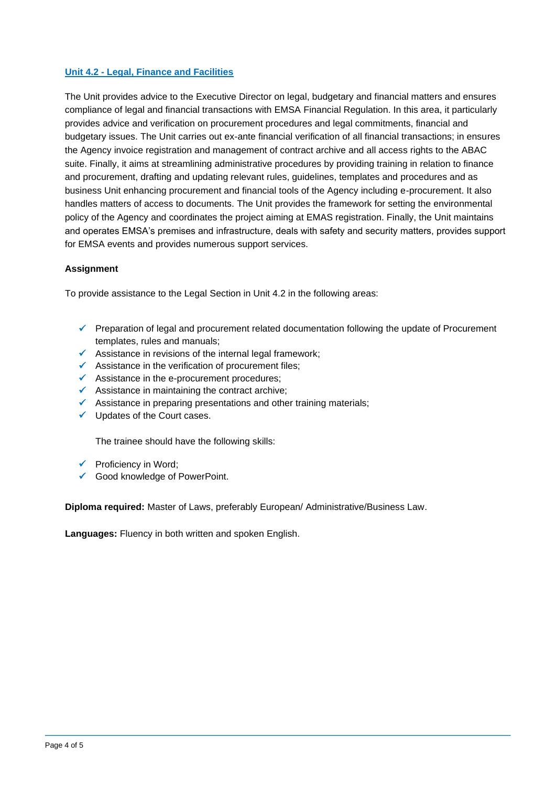## **Unit 4.2 - Legal, Finance and Facilities**

The Unit provides advice to the Executive Director on legal, budgetary and financial matters and ensures compliance of legal and financial transactions with EMSA Financial Regulation. In this area, it particularly provides advice and verification on procurement procedures and legal commitments, financial and budgetary issues. The Unit carries out ex-ante financial verification of all financial transactions; in ensures the Agency invoice registration and management of contract archive and all access rights to the ABAC suite. Finally, it aims at streamlining administrative procedures by providing training in relation to finance and procurement, drafting and updating relevant rules, guidelines, templates and procedures and as business Unit enhancing procurement and financial tools of the Agency including e-procurement. It also handles matters of access to documents. The Unit provides the framework for setting the environmental policy of the Agency and coordinates the project aiming at EMAS registration. Finally, the Unit maintains and operates EMSA's premises and infrastructure, deals with safety and security matters, provides support for EMSA events and provides numerous support services.

#### **Assignment**

To provide assistance to the Legal Section in Unit 4.2 in the following areas:

- ✓ Preparation of legal and procurement related documentation following the update of Procurement templates, rules and manuals;
- $\checkmark$  Assistance in revisions of the internal legal framework;
- $\checkmark$  Assistance in the verification of procurement files;
- ✓ Assistance in the e-procurement procedures;
- $\checkmark$  Assistance in maintaining the contract archive;
- ✓ Assistance in preparing presentations and other training materials;
- ✓ Updates of the Court cases.

The trainee should have the following skills:

- $\checkmark$  Proficiency in Word;
- ✓ Good knowledge of PowerPoint.

**Diploma required:** Master of Laws, preferably European/ Administrative/Business Law.

**Languages:** Fluency in both written and spoken English.